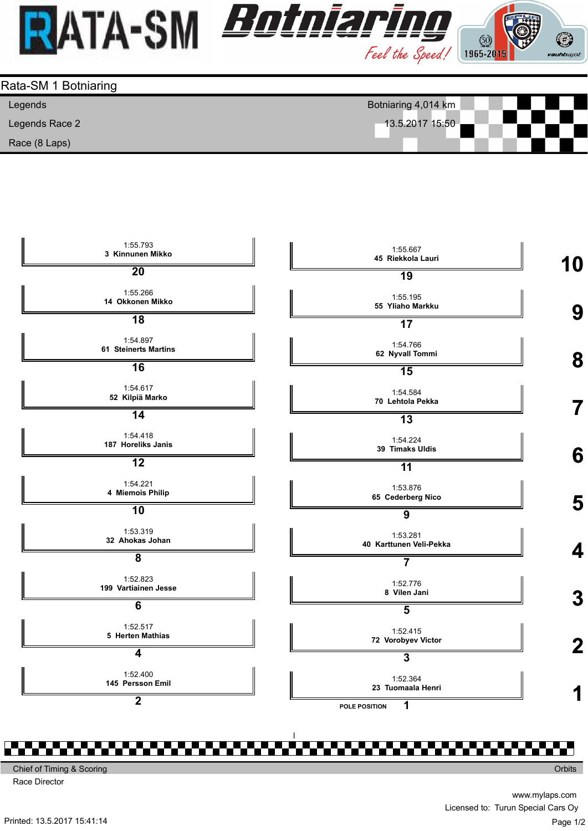





Chief of Timing & Scoring

Race Director

www.mylaps.com Licensed to: Turun Special Cars Oy Page 1/2

**Orbits** 

Printed: 13.5.2017 15:41:14